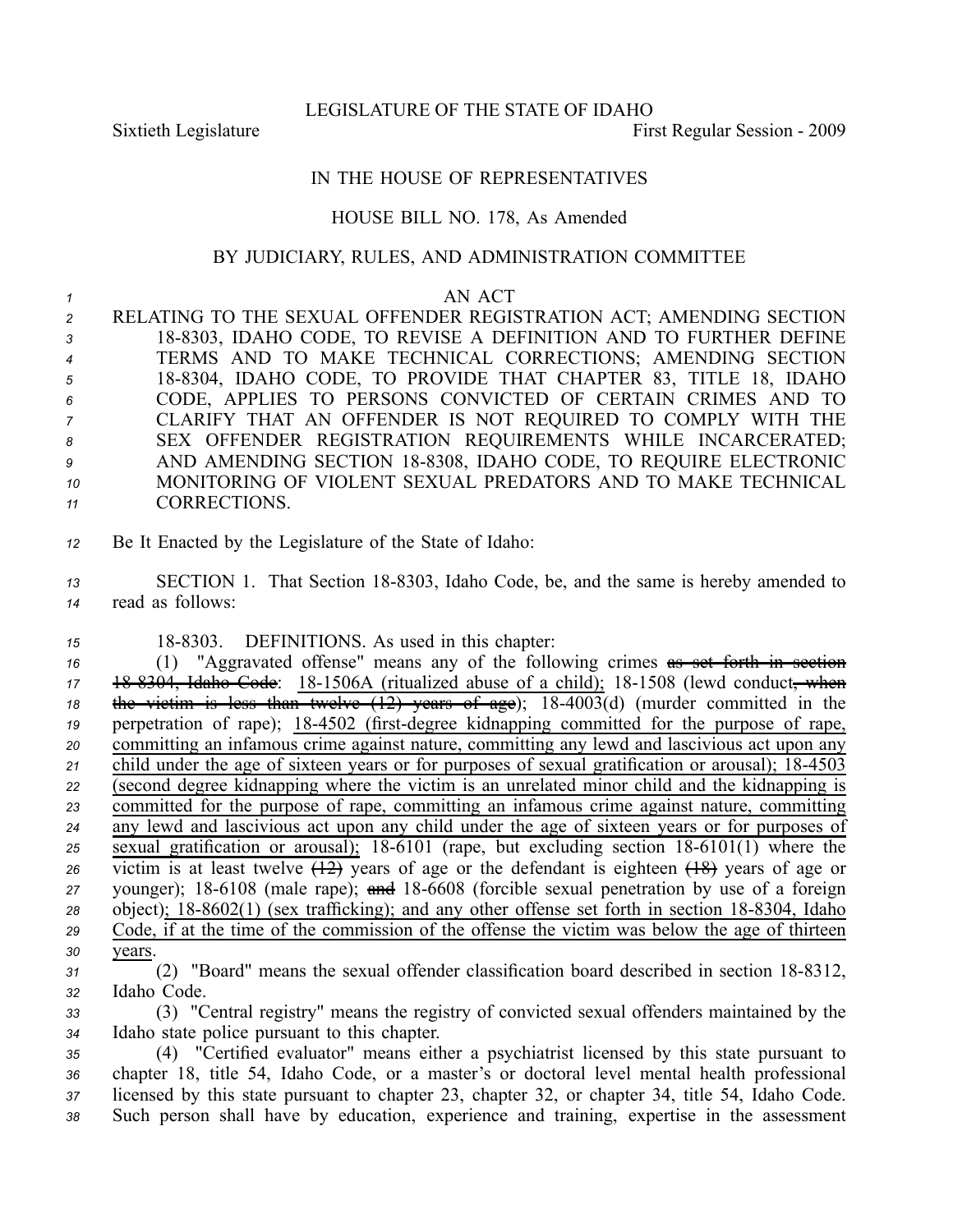LEGISLATURE OF THE STATE OF IDAHO

Sixtieth Legislature **First** Regular Session - 2009

## IN THE HOUSE OF REPRESENTATIVES

## HOUSE BILL NO. 178, As Amended

## BY JUDICIARY, RULES, AND ADMINISTRATION COMMITTEE

## *<sup>1</sup>* AN ACT

 RELATING TO THE SEXUAL OFFENDER REGISTRATION ACT; AMENDING SECTION 188303, IDAHO CODE, TO REVISE A DEFINITION AND TO FURTHER DEFINE TERMS AND TO MAKE TECHNICAL CORRECTIONS; AMENDING SECTION 188304, IDAHO CODE, TO PROVIDE THAT CHAPTER 83, TITLE 18, IDAHO CODE, APPLIES TO PERSONS CONVICTED OF CERTAIN CRIMES AND TO CLARIFY THAT AN OFFENDER IS NOT REQUIRED TO COMPLY WITH THE SEX OFFENDER REGISTRATION REQUIREMENTS WHILE INCARCERATED; AND AMENDING SECTION 188308, IDAHO CODE, TO REQUIRE ELECTRONIC MONITORING OF VIOLENT SEXUAL PREDATORS AND TO MAKE TECHNICAL CORRECTIONS.

*<sup>12</sup>* Be It Enacted by the Legislature of the State of Idaho:

13 SECTION 1. That Section 18-8303, Idaho Code, be, and the same is hereby amended to *<sup>14</sup>* read as follows:

15 18-8303. DEFINITIONS. As used in this chapter:

 (1) "Aggravated offense" means any of the following crimes as set forth in section 17 18 8304, Idaho Code: 18-1506A (ritualized abuse of a child); 18-1508 (lewd conduct, when the victim is less than twelve  $(12)$  years of age);  $18-4003(d)$  (murder committed in the perpetration of rape); 18-4502 (first-degree kidnapping committed for the purpose of rape, committing an infamous crime against nature, committing any lewd and lascivious act upon any 21 child under the age of sixteen years or for purposes of sexual gratification or arousal); 18-4503 (second degree kidnapping where the victim is an unrelated minor child and the kidnapping is committed for the purpose of rape, committing an infamous crime against nature, committing any lewd and lascivious act upon any child under the age of sixteen years or for purposes of sexual gratification or arousal); 18-6101 (rape, but excluding section  $18-6101(1)$  where the victim is at least twelve  $\overline{(12)}$  years of age or the defendant is eighteen  $\overline{(18)}$  years of age or younger); 18-6108 (male rape); and 18-6608 (forcible sexual penetration by use of a foreign object); 18-8602(1) (sex trafficking); and any other offense set forth in section 18-8304, Idaho Code, if at the time of the commission of the offense the victim was below the age of thirteen *30* years.

- <sup>31</sup> (2) "Board" means the sexual offender classification board described in section 18-8312, *<sup>32</sup>* Idaho Code.
- *<sup>33</sup>* (3) "Central registry" means the registry of convicted sexual offenders maintained by the *<sup>34</sup>* Idaho state police pursuan<sup>t</sup> to this chapter.

 (4) "Certified evaluator" means either <sup>a</sup> psychiatrist licensed by this state pursuan<sup>t</sup> to chapter 18, title 54, Idaho Code, or <sup>a</sup> master's or doctoral level mental health professional licensed by this state pursuan<sup>t</sup> to chapter 23, chapter 32, or chapter 34, title 54, Idaho Code. Such person shall have by education, experience and training, expertise in the assessment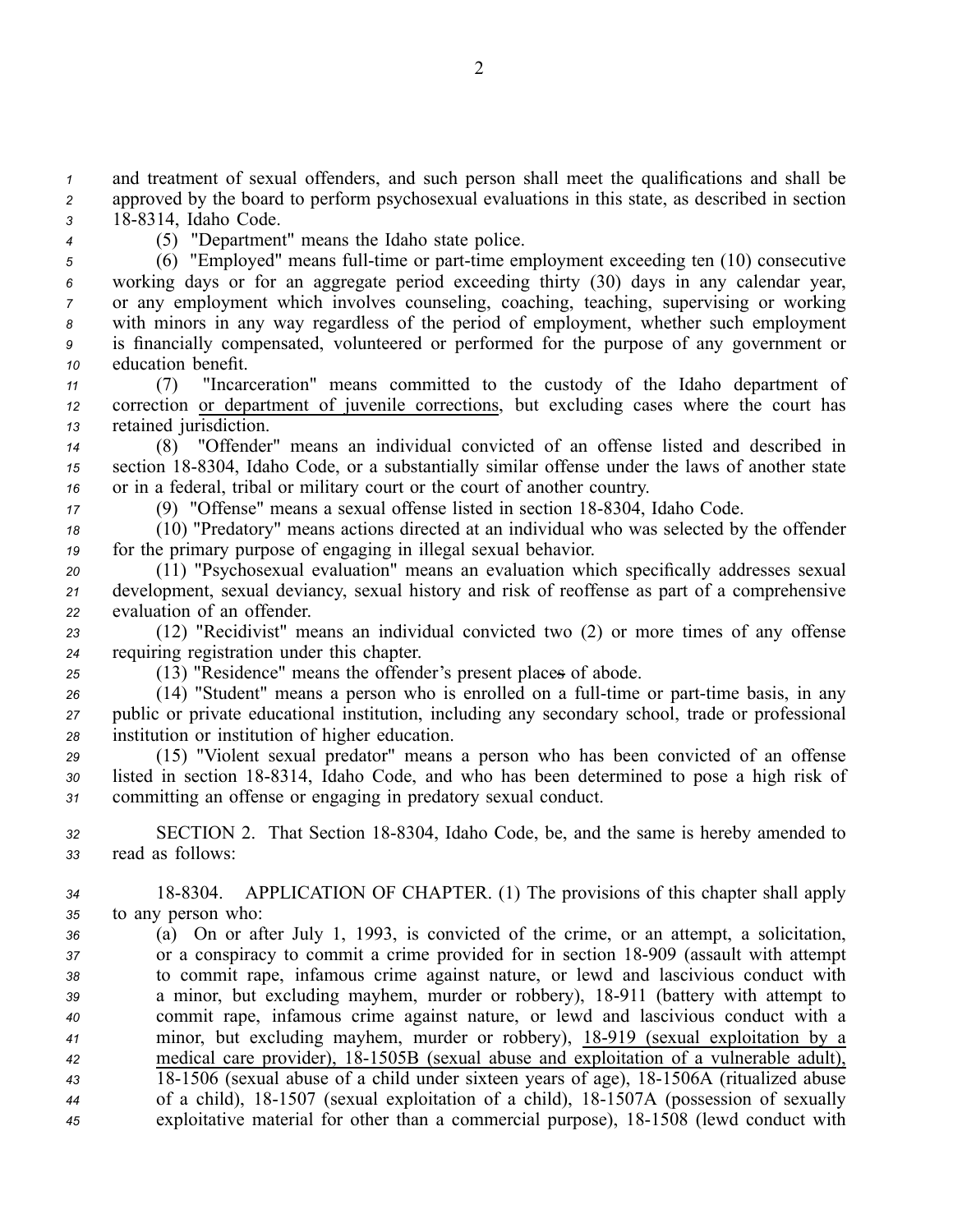*<sup>1</sup>* and treatment of sexual offenders, and such person shall meet the qualifications and shall be *<sup>2</sup>* approved by the board to perform psychosexual evaluations in this state, as described in section *<sup>3</sup>* 188314, Idaho Code.

- 
- *<sup>4</sup>* (5) "Department" means the Idaho state police.

<sup>5</sup> (6) "Employed" means full-time or part-time employment exceeding ten (10) consecutive working days or for an aggregate period exceeding thirty (30) days in any calendar year, or any employment which involves counseling, coaching, teaching, supervising or working with minors in any way regardless of the period of employment, whether such employment is financially compensated, volunteered or performed for the purpose of any governmen<sup>t</sup> or education benefit.

*<sup>11</sup>* (7) "Incarceration" means committed to the custody of the Idaho department of *<sup>12</sup>* correction or department of juvenile corrections, but excluding cases where the court has *<sup>13</sup>* retained jurisdiction.

*<sup>14</sup>* (8) "Offender" means an individual convicted of an offense listed and described in *<sup>15</sup>* section 188304, Idaho Code, or <sup>a</sup> substantially similar offense under the laws of another state *<sup>16</sup>* or in <sup>a</sup> federal, tribal or military court or the court of another country.

17 (9) "Offense" means a sexual offense listed in section 18-8304, Idaho Code.

*<sup>18</sup>* (10) "Predatory" means actions directed at an individual who was selected by the offender *<sup>19</sup>* for the primary purpose of engaging in illegal sexual behavior.

*<sup>20</sup>* (11) "Psychosexual evaluation" means an evaluation which specifically addresses sexual *<sup>21</sup>* development, sexual deviancy, sexual history and risk of reoffense as par<sup>t</sup> of <sup>a</sup> comprehensive *<sup>22</sup>* evaluation of an offender.

*<sup>23</sup>* (12) "Recidivist" means an individual convicted two (2) or more times of any offense *<sup>24</sup>* requiring registration under this chapter.

*<sup>25</sup>* (13) "Residence" means the offender's presen<sup>t</sup> places of abode.

26 (14) "Student" means a person who is enrolled on a full-time or part-time basis, in any *<sup>27</sup>* public or private educational institution, including any secondary school, trade or professional *<sup>28</sup>* institution or institution of higher education.

*<sup>29</sup>* (15) "Violent sexual predator" means <sup>a</sup> person who has been convicted of an offense 30 listed in section 18-8314, Idaho Code, and who has been determined to pose a high risk of *<sup>31</sup>* committing an offense or engaging in predatory sexual conduct.

*<sup>32</sup>* SECTION 2. That Section 188304, Idaho Code, be, and the same is hereby amended to *<sup>33</sup>* read as follows:

*<sup>34</sup>* 188304. APPLICATION OF CHAPTER. (1) The provisions of this chapter shall apply *<sup>35</sup>* to any person who:

 (a) On or after July 1, 1993, is convicted of the crime, or an attempt, <sup>a</sup> solicitation, or <sup>a</sup> conspiracy to commit <sup>a</sup> crime provided for in section 18909 (assault with attempt to commit rape, infamous crime against nature, or lewd and lascivious conduct with <sup>a</sup> minor, but excluding mayhem, murder or robbery), 18911 (battery with attempt to commit rape, infamous crime against nature, or lewd and lascivious conduct with <sup>a</sup> minor, but excluding mayhem, murder or robbery), 18919 (sexual exploitation by <sup>a</sup> medical care provider), 181505B (sexual abuse and exploitation of <sup>a</sup> vulnerable adult), 181506 (sexual abuse of <sup>a</sup> child under sixteen years of age), 181506A (ritualized abuse of <sup>a</sup> child), 181507 (sexual exploitation of <sup>a</sup> child), 181507A (possession of sexually exploitative material for other than <sup>a</sup> commercial purpose), 181508 (lewd conduct with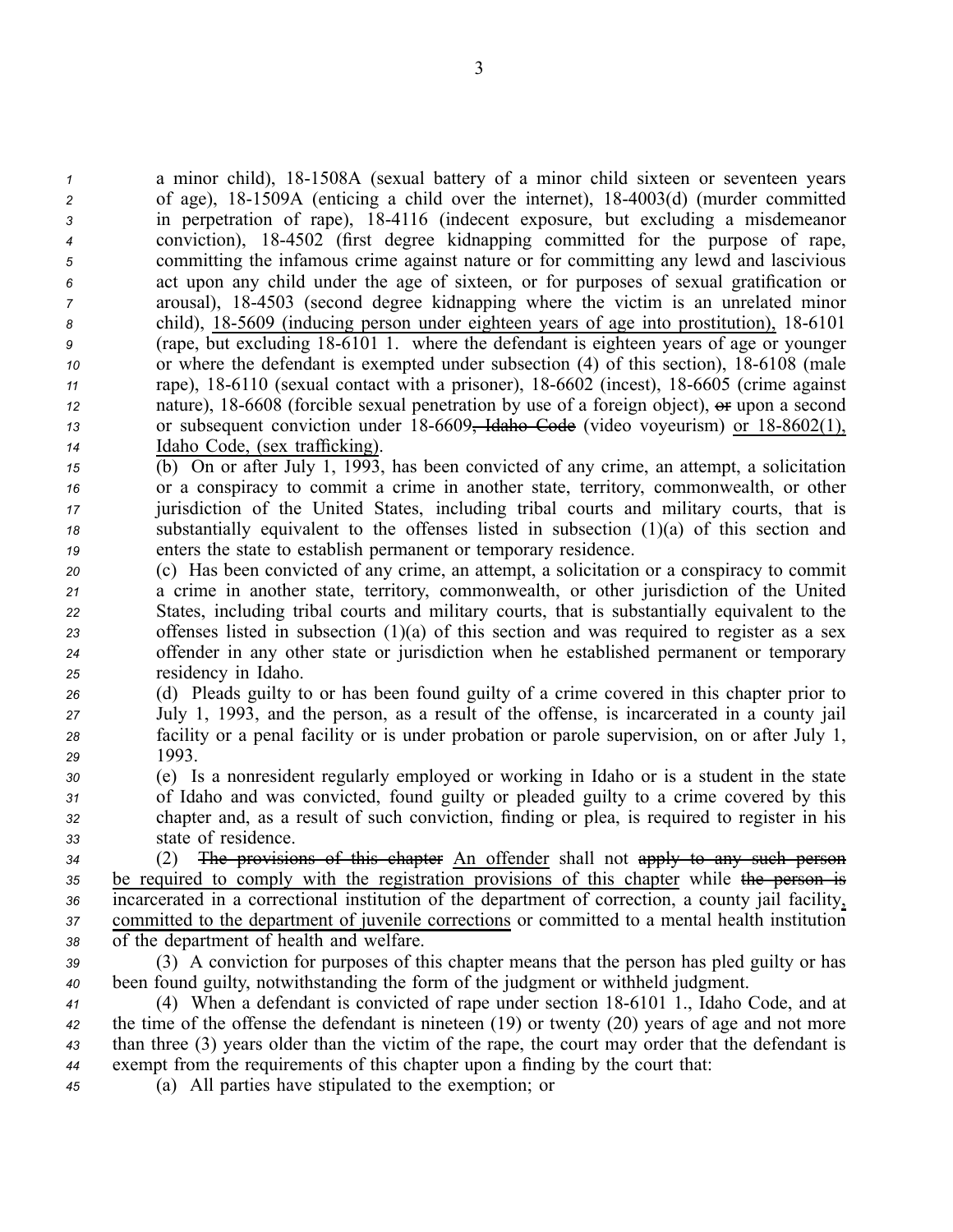a minor child), 18-1508A (sexual battery of a minor child sixteen or seventeen years of age), 181509A (enticing <sup>a</sup> child over the internet), 184003(d) (murder committed in perpetration of rape), 184116 (indecent exposure, but excluding <sup>a</sup> misdemeanor conviction), 184502 (first degree kidnapping committed for the purpose of rape, committing the infamous crime against nature or for committing any lewd and lascivious act upon any child under the age of sixteen, or for purposes of sexual gratification or arousal), 184503 (second degree kidnapping where the victim is an unrelated minor child), 185609 (inducing person under eighteen years of age into prostitution), 186101 (rape, but excluding 186101 1. where the defendant is eighteen years of age or younger or where the defendant is exempted under subsection (4) of this section), 18-6108 (male rape), 18-6110 (sexual contact with a prisoner), 18-6602 (incest), 18-6605 (crime against nature), 18-6608 (forcible sexual penetration by use of a foreign object),  $\Theta$  upon a second or subsequent conviction under 18-6609<del>, Idaho Code</del> (video voyeurism) or 18-8602(1), Idaho Code, (sex trafficking).

- *<sup>15</sup>* (b) On or after July 1, 1993, has been convicted of any crime, an attempt, <sup>a</sup> solicitation *<sup>16</sup>* or <sup>a</sup> conspiracy to commit <sup>a</sup> crime in another state, territory, commonwealth, or other *<sup>17</sup>* jurisdiction of the United States, including tribal courts and military courts, that is *<sup>18</sup>* substantially equivalent to the offenses listed in subsection (1)(a) of this section and *<sup>19</sup>* enters the state to establish permanen<sup>t</sup> or temporary residence.
- *<sup>20</sup>* (c) Has been convicted of any crime, an attempt, <sup>a</sup> solicitation or <sup>a</sup> conspiracy to commit *<sup>21</sup>* <sup>a</sup> crime in another state, territory, commonwealth, or other jurisdiction of the United *<sup>22</sup>* States, including tribal courts and military courts, that is substantially equivalent to the *<sup>23</sup>* offenses listed in subsection (1)(a) of this section and was required to register as <sup>a</sup> sex *<sup>24</sup>* offender in any other state or jurisdiction when he established permanen<sup>t</sup> or temporary *<sup>25</sup>* residency in Idaho.
- *<sup>26</sup>* (d) Pleads guilty to or has been found guilty of <sup>a</sup> crime covered in this chapter prior to *<sup>27</sup>* July 1, 1993, and the person, as <sup>a</sup> result of the offense, is incarcerated in <sup>a</sup> county jail *<sup>28</sup>* facility or <sup>a</sup> penal facility or is under probation or parole supervision, on or after July 1, *29* 1993.
- *<sup>30</sup>* (e) Is <sup>a</sup> nonresident regularly employed or working in Idaho or is <sup>a</sup> student in the state *<sup>31</sup>* of Idaho and was convicted, found guilty or pleaded guilty to <sup>a</sup> crime covered by this *<sup>32</sup>* chapter and, as <sup>a</sup> result of such conviction, finding or plea, is required to register in his *<sup>33</sup>* state of residence.
- *<sup>34</sup>* (2) The provisions of this chapter An offender shall not apply to any such person 35 be required to comply with the registration provisions of this chapter while the person is *<sup>36</sup>* incarcerated in <sup>a</sup> correctional institution of the department of correction, <sup>a</sup> county jail facility, *<sup>37</sup>* committed to the department of juvenile corrections or committed to <sup>a</sup> mental health institution *<sup>38</sup>* of the department of health and welfare.
- *<sup>39</sup>* (3) A conviction for purposes of this chapter means that the person has pled guilty or has *<sup>40</sup>* been found guilty, notwithstanding the form of the judgment or withheld judgment.
- *<sup>41</sup>* (4) When <sup>a</sup> defendant is convicted of rape under section 186101 1., Idaho Code, and at *<sup>42</sup>* the time of the offense the defendant is nineteen (19) or twenty (20) years of age and not more *<sup>43</sup>* than three (3) years older than the victim of the rape, the court may order that the defendant is *<sup>44</sup>* exemp<sup>t</sup> from the requirements of this chapter upon <sup>a</sup> finding by the court that:
- *<sup>45</sup>* (a) All parties have stipulated to the exemption; or